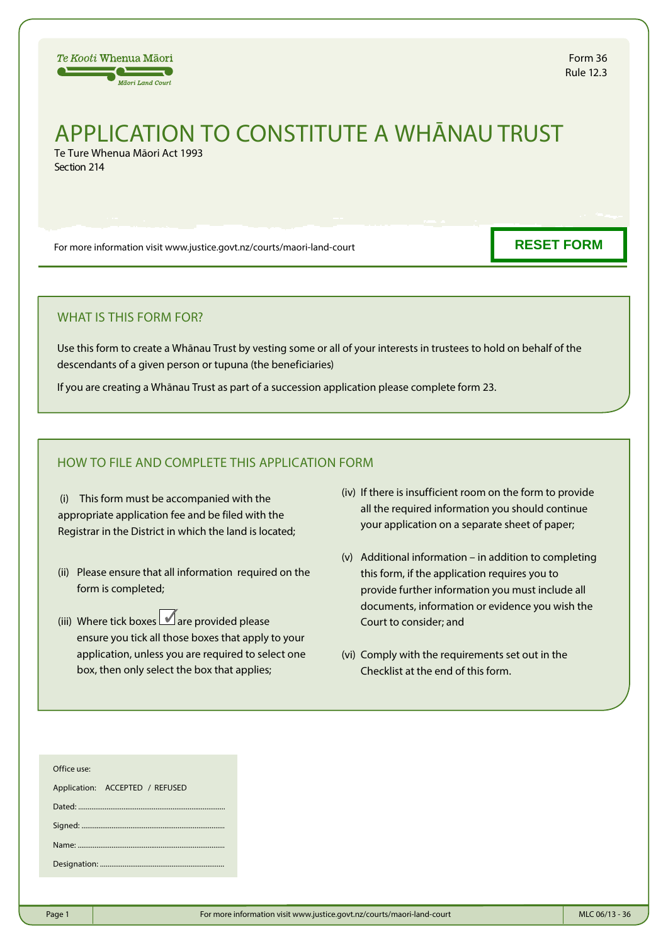

# APPLICATION TO CONSTITUTE A WHĀNAU TRUST Te Ture Whenua Māori Act 1993

Section 214

For more information visit www.justice.govt.nz/courts/maori-land-court

**RESET FORM**

### WHAT IS THIS FORM FOR?

Use this form to create a Whānau Trust by vesting some or all of your interests in trustees to hold on behalf of the descendants of a given person or tupuna (the beneficiaries)

If you are creating a Whānau Trust as part of a succession application please complete form 23.

### HOW TO FILE AND COMPLETE THIS APPLICATION FORM

(i) This form must be accompanied with the appropriate application fee and be filed with the Registrar in the District in which the land is located;

- (ii) Please ensure that all information required on the form is completed;
- (iii) Where tick boxes  $\Box$  are provided please ensure you tick all those boxes that apply to your application, unless you are required to select one box, then only select the box that applies;
- (iv) If there is insufficient room on the form to provide all the required information you should continue your application on a separate sheet of paper;
- (v) Additional information in addition to completing this form, if the application requires you to provide further information you must include all documents, information or evidence you wish the Court to consider; and
- (vi) Comply with the requirements set out in the Checklist at the end of this form.

| Office use:                     |
|---------------------------------|
| Application: ACCEPTED / REFUSED |
|                                 |
|                                 |
|                                 |
|                                 |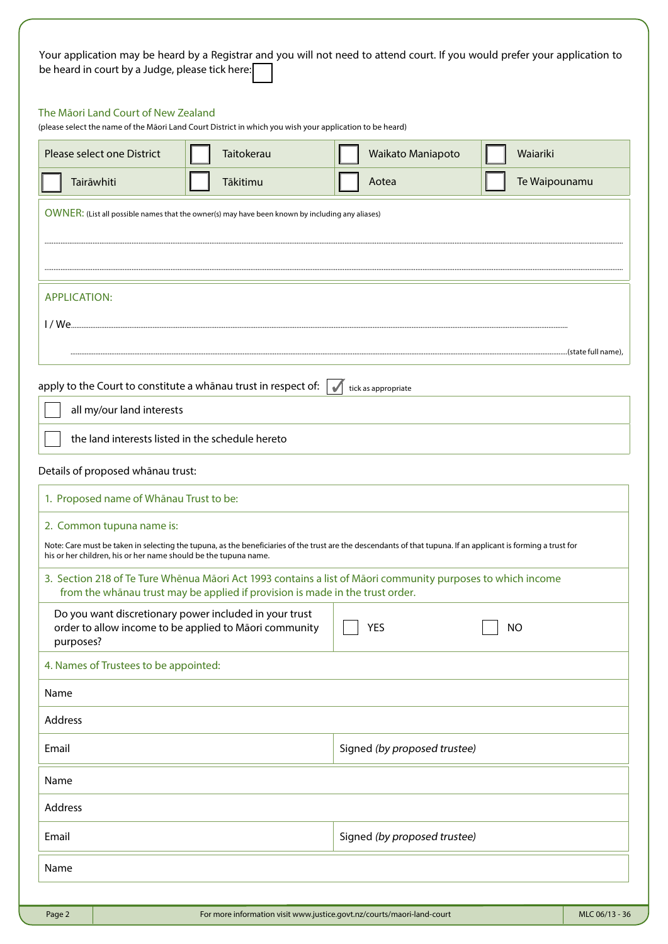| Your application may be heard by a Registrar and you will not need to attend court. If you would prefer your application to |  |  |  |  |
|-----------------------------------------------------------------------------------------------------------------------------|--|--|--|--|
| be heard in court by a Judge, please tick here:                                                                             |  |  |  |  |

### The Māori Land Court of New Zealand

(please select the name of the Māori Land Court District in which you wish your application to be heard)

|                     | Please select one District                                      | Taitokerau                                                                                                       |            | Waikato Maniapoto                                                                                                                                              | Waiariki      |                    |
|---------------------|-----------------------------------------------------------------|------------------------------------------------------------------------------------------------------------------|------------|----------------------------------------------------------------------------------------------------------------------------------------------------------------|---------------|--------------------|
|                     | Tairāwhiti                                                      | Tākitimu                                                                                                         |            | Aotea                                                                                                                                                          | Te Waipounamu |                    |
|                     |                                                                 | OWNER: (List all possible names that the owner(s) may have been known by including any aliases)                  |            |                                                                                                                                                                |               |                    |
|                     |                                                                 |                                                                                                                  |            |                                                                                                                                                                |               |                    |
|                     |                                                                 |                                                                                                                  |            |                                                                                                                                                                |               |                    |
| <b>APPLICATION:</b> |                                                                 |                                                                                                                  |            |                                                                                                                                                                |               |                    |
| 1/ We               |                                                                 |                                                                                                                  |            |                                                                                                                                                                |               |                    |
|                     |                                                                 |                                                                                                                  |            |                                                                                                                                                                |               | (state full name). |
|                     |                                                                 | apply to the Court to constitute a whanau trust in respect of:                                                   | $\sqrt{2}$ | tick as appropriate                                                                                                                                            |               |                    |
|                     | all my/our land interests                                       |                                                                                                                  |            |                                                                                                                                                                |               |                    |
|                     | the land interests listed in the schedule hereto                |                                                                                                                  |            |                                                                                                                                                                |               |                    |
|                     | Details of proposed whānau trust:                               |                                                                                                                  |            |                                                                                                                                                                |               |                    |
|                     | 1. Proposed name of Whānau Trust to be:                         |                                                                                                                  |            |                                                                                                                                                                |               |                    |
|                     | 2. Common tupuna name is:                                       |                                                                                                                  |            |                                                                                                                                                                |               |                    |
|                     | his or her children, his or her name should be the tupuna name. |                                                                                                                  |            | Note: Care must be taken in selecting the tupuna, as the beneficiaries of the trust are the descendants of that tupuna. If an applicant is forming a trust for |               |                    |
|                     |                                                                 | from the whanau trust may be applied if provision is made in the trust order.                                    |            | 3. Section 218 of Te Ture Whēnua Māori Act 1993 contains a list of Māori community purposes to which income                                                    |               |                    |
| purposes?           |                                                                 | Do you want discretionary power included in your trust<br>order to allow income to be applied to Māori community |            | <b>YES</b>                                                                                                                                                     | <b>NO</b>     |                    |
|                     | 4. Names of Trustees to be appointed:                           |                                                                                                                  |            |                                                                                                                                                                |               |                    |
| Name                |                                                                 |                                                                                                                  |            |                                                                                                                                                                |               |                    |
| Address             |                                                                 |                                                                                                                  |            |                                                                                                                                                                |               |                    |
| Email               |                                                                 |                                                                                                                  |            | Signed (by proposed trustee)                                                                                                                                   |               |                    |
| Name                |                                                                 |                                                                                                                  |            |                                                                                                                                                                |               |                    |
| Address             |                                                                 |                                                                                                                  |            |                                                                                                                                                                |               |                    |
| Email               |                                                                 |                                                                                                                  |            | Signed (by proposed trustee)                                                                                                                                   |               |                    |
| Name                |                                                                 |                                                                                                                  |            |                                                                                                                                                                |               |                    |
|                     |                                                                 |                                                                                                                  |            |                                                                                                                                                                |               |                    |
| Page 2              |                                                                 | For more information visit www.justice.govt.nz/courts/maori-land-court                                           |            |                                                                                                                                                                |               | MLC 06/13 - 36     |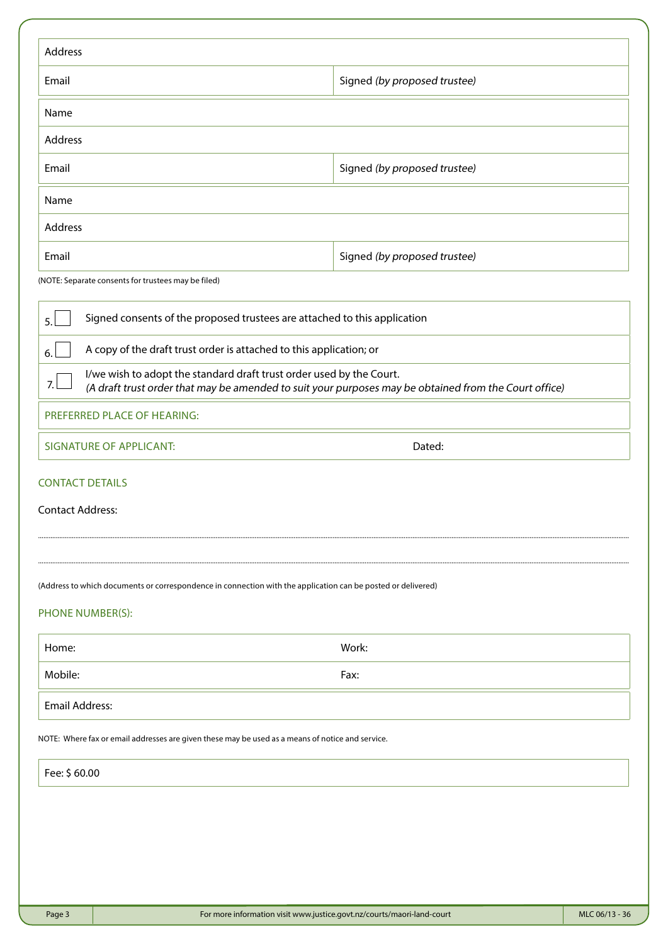| Address                                                                                                      |                                                                                                       |                |
|--------------------------------------------------------------------------------------------------------------|-------------------------------------------------------------------------------------------------------|----------------|
| Email                                                                                                        | Signed (by proposed trustee)                                                                          |                |
| Name                                                                                                         |                                                                                                       |                |
| Address                                                                                                      |                                                                                                       |                |
| Email                                                                                                        | Signed (by proposed trustee)                                                                          |                |
| Name                                                                                                         |                                                                                                       |                |
| Address                                                                                                      |                                                                                                       |                |
| Email                                                                                                        | Signed (by proposed trustee)                                                                          |                |
| (NOTE: Separate consents for trustees may be filed)                                                          |                                                                                                       |                |
| 5.                                                                                                           | Signed consents of the proposed trustees are attached to this application                             |                |
| A copy of the draft trust order is attached to this application; or<br>6.                                    |                                                                                                       |                |
| I/we wish to adopt the standard draft trust order used by the Court.<br>7.                                   | (A draft trust order that may be amended to suit your purposes may be obtained from the Court office) |                |
| PREFERRED PLACE OF HEARING:                                                                                  |                                                                                                       |                |
| <b>SIGNATURE OF APPLICANT:</b>                                                                               | Dated:                                                                                                |                |
| <b>CONTACT DETAILS</b>                                                                                       |                                                                                                       |                |
| <b>Contact Address:</b>                                                                                      |                                                                                                       |                |
|                                                                                                              |                                                                                                       |                |
| (Address to which documents or correspondence in connection with the application can be posted or delivered) |                                                                                                       |                |
| PHONE NUMBER(S):                                                                                             |                                                                                                       |                |
| Home:                                                                                                        | Work:                                                                                                 |                |
| Mobile:                                                                                                      | Fax:                                                                                                  |                |
| <b>Email Address:</b>                                                                                        |                                                                                                       |                |
| NOTE: Where fax or email addresses are given these may be used as a means of notice and service.             |                                                                                                       |                |
| Fee: \$60.00                                                                                                 |                                                                                                       |                |
|                                                                                                              |                                                                                                       |                |
|                                                                                                              |                                                                                                       |                |
|                                                                                                              |                                                                                                       |                |
|                                                                                                              |                                                                                                       |                |
| Page 3                                                                                                       | For more information visit www.justice.govt.nz/courts/maori-land-court                                | MLC 06/13 - 36 |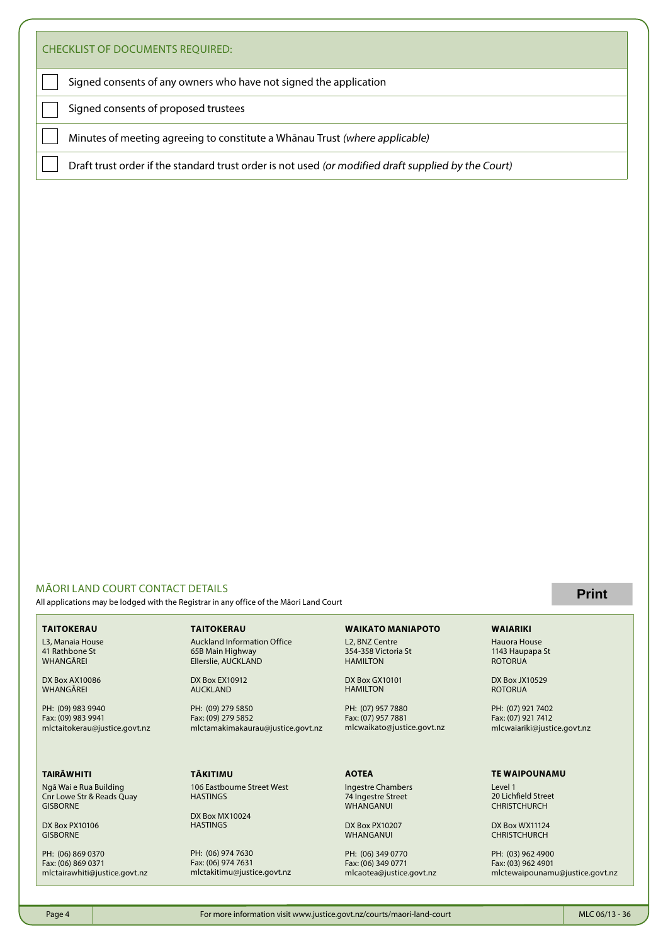| <b>CHECKLIST OF DOCUMENTS REQUIRED:</b>                                                             |  |
|-----------------------------------------------------------------------------------------------------|--|
| Signed consents of any owners who have not signed the application                                   |  |
| Signed consents of proposed trustees                                                                |  |
| Minutes of meeting agreeing to constitute a Whānau Trust (where applicable)                         |  |
| Draft trust order if the standard trust order is not used (or modified draft supplied by the Court) |  |

### MĀORI LAND COURT CONTACT DETAILS

All applications may be lodged with the Registrar in any office of the Māori Land Court

#### **TAITOKERAU**

L3, Manaia House 41 Rathbone St WHANGĀREI

DX Box AX10086 WHANGĀREI

PH: (09) 983 9940 Fax: (09) 983 9941 mlctaitokerau@justice.govt.nz

### **TAIRĀWHITI**

Ngā Wai e Rua Building Cnr Lowe Str & Reads Quay **GISBORNE** 

DX Box PX10106 **GISBORNE** 

PH: (06) 869 0370 Fax: (06) 869 0371 mlctairawhiti@justice.govt.nz **TAITOKERAU**

Auckland Information Office 65B Main Highway Ellerslie, AUCKLAND

DX Box EX10912 AUCKLAND

PH: (09) 279 5850 Fax: (09) 279 5852 mlctamakimakaurau@justice.govt.nz

#### **TĀKITIMU**

106 Eastbourne Street West **HASTINGS** 

DX Box MX10024 **HASTINGS** 

PH: (06) 974 7630 Fax: (06) 974 7631 mlctakitimu@justice.govt.nz

## **WAIKATO MANIAPOTO**

L2, BNZ Centre 354-358 Victoria St **HAMILTON** 

DX Box GX10101 HAMILTON

PH: (07) 957 7880 Fax: (07) 957 7881 mlcwaikato@justice.govt.nz

#### **AOTEA**

Ingestre Chambers 74 Ingestre Street WHANGANUI

DX Box PX10207 WHANGANUI

PH: (06) 349 0770 Fax: (06) 349 0771 mlcaotea@justice.govt.nz

### **Print**

#### **WAIARIKI**

Hauora House 1143 Haupapa St ROTORUA

DX Box JX10529 ROTORUA

PH: (07) 921 7402 Fax: (07) 921 7412 mlcwaiariki@justice.govt.nz

#### **TE WAIPOUNAMU**

Level 1 20 Lichfield Street **CHRISTCHURCH** 

DX Box WX11124 CHRISTCHURCH

PH: (03) 962 4900 Fax: (03) 962 4901 mlctewaipounamu@justice.govt.nz